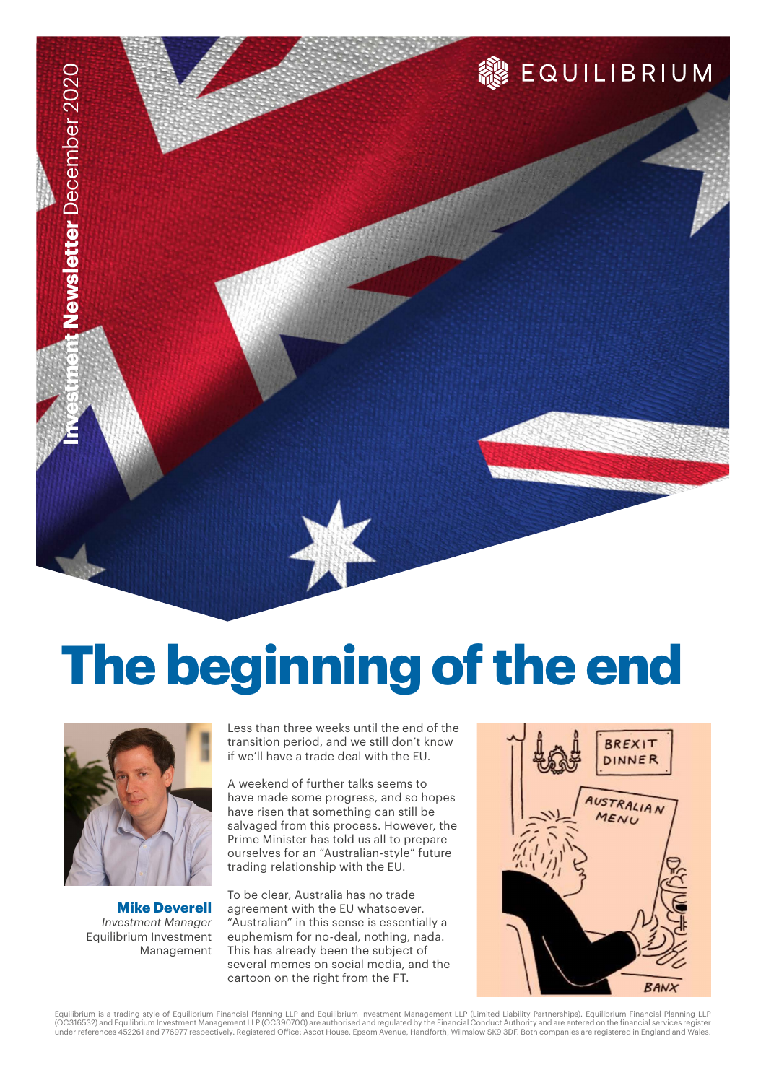

# **The beginning of the end**



**Mike Deverell** *Investment Manager* Equilibrium Investment Management Less than three weeks until the end of the transition period, and we still don't know if we'll have a trade deal with the EU.

A weekend of further talks seems to have made some progress, and so hopes have risen that something can still be salvaged from this process. However, the Prime Minister has told us all to prepare ourselves for an "Australian-style" future trading relationship with the EU.

To be clear, Australia has no trade agreement with the EU whatsoever. "Australian" in this sense is essentially a euphemism for no-deal, nothing, nada. This has already been the subject of several memes on social media, and the cartoon on the right from the FT.



Equilibrium is a trading style of Equilibrium Financial Planning LLP and Equilibrium Investment Management LLP (Limited Liability Partnerships). Equilibrium Financial Planning LLP<br>(OC316532) and Equilibrium Investment Mana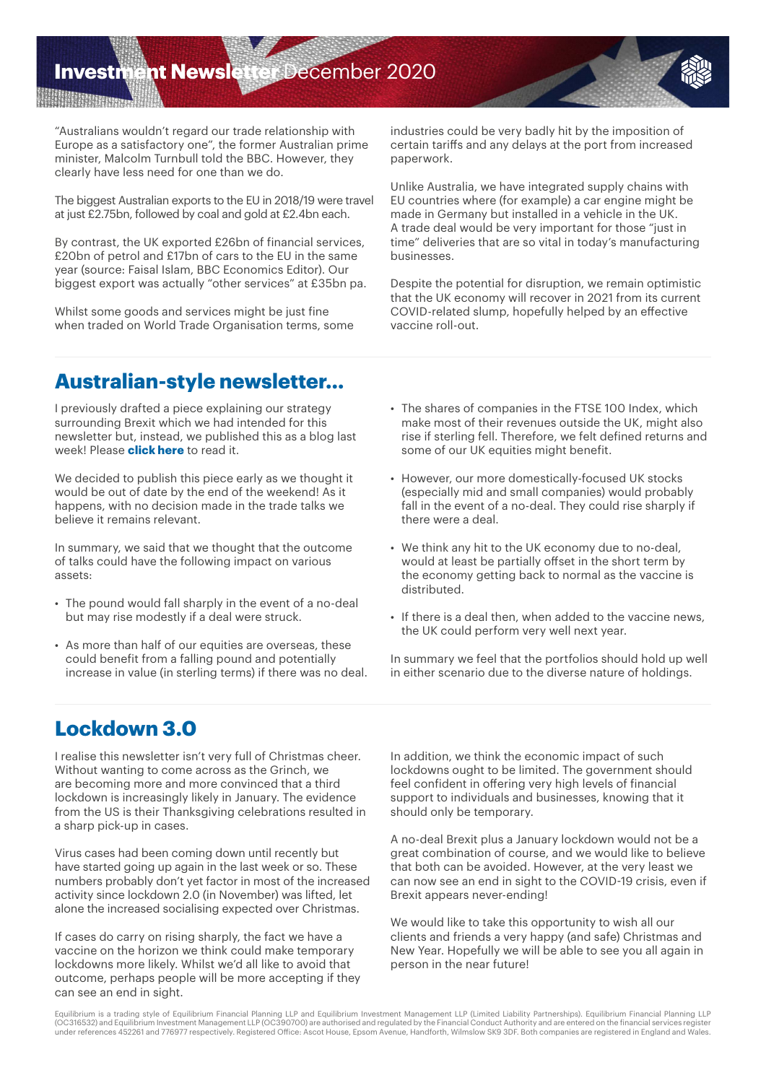## **Investment Newsletter** December 2020

**WARRANTIFATION** 

"Australians wouldn't regard our trade relationship with Europe as a satisfactory one", the former Australian prime minister, Malcolm Turnbull told the BBC. However, they clearly have less need for one than we do.

The biggest Australian exports to the EU in 2018/19 were travel at just £2.75bn, followed by coal and gold at £2.4bn each.

By contrast, the UK exported £26bn of financial services, £20bn of petrol and £17bn of cars to the EU in the same year (source: Faisal Islam, BBC Economics Editor). Our biggest export was actually "other services" at £35bn pa.

Whilst some goods and services might be just fine when traded on World Trade Organisation terms, some industries could be very badly hit by the imposition of certain tariffs and any delays at the port from increased paperwork.

Unlike Australia, we have integrated supply chains with EU countries where (for example) a car engine might be made in Germany but installed in a vehicle in the UK. A trade deal would be very important for those "just in time" deliveries that are so vital in today's manufacturing businesses.

Despite the potential for disruption, we remain optimistic that the UK economy will recover in 2021 from its current COVID-related slump, hopefully helped by an effective vaccine roll-out.

### **Australian-style newsletter…**

I previously drafted a piece explaining our strategy surrounding Brexit which we had intended for this newsletter but, instead, we published this as a blog last week! Please **[click here](www.equilibrium.co.uk/deja-vu)** to read it.

We decided to publish this piece early as we thought it would be out of date by the end of the weekend! As it happens, with no decision made in the trade talks we believe it remains relevant.

In summary, we said that we thought that the outcome of talks could have the following impact on various assets:

- The pound would fall sharply in the event of a no-deal but may rise modestly if a deal were struck.
- As more than half of our equities are overseas, these could benefit from a falling pound and potentially increase in value (in sterling terms) if there was no deal.
- The shares of companies in the FTSE 100 Index, which make most of their revenues outside the UK, might also rise if sterling fell. Therefore, we felt defined returns and some of our UK equities might benefit.
- However, our more domestically-focused UK stocks (especially mid and small companies) would probably fall in the event of a no-deal. They could rise sharply if there were a deal.
- We think any hit to the UK economy due to no-deal, would at least be partially offset in the short term by the economy getting back to normal as the vaccine is distributed.
- If there is a deal then, when added to the vaccine news, the UK could perform very well next year.

In summary we feel that the portfolios should hold up well in either scenario due to the diverse nature of holdings.

## **Lockdown 3.0**

I realise this newsletter isn't very full of Christmas cheer. Without wanting to come across as the Grinch, we are becoming more and more convinced that a third lockdown is increasingly likely in January. The evidence from the US is their Thanksgiving celebrations resulted in a sharp pick-up in cases.

Virus cases had been coming down until recently but have started going up again in the last week or so. These numbers probably don't yet factor in most of the increased activity since lockdown 2.0 (in November) was lifted, let alone the increased socialising expected over Christmas.

If cases do carry on rising sharply, the fact we have a vaccine on the horizon we think could make temporary lockdowns more likely. Whilst we'd all like to avoid that outcome, perhaps people will be more accepting if they can see an end in sight.

In addition, we think the economic impact of such lockdowns ought to be limited. The government should feel confident in offering very high levels of financial support to individuals and businesses, knowing that it should only be temporary.

A no-deal Brexit plus a January lockdown would not be a great combination of course, and we would like to believe that both can be avoided. However, at the very least we can now see an end in sight to the COVID-19 crisis, even if Brexit appears never-ending!

We would like to take this opportunity to wish all our clients and friends a very happy (and safe) Christmas and New Year. Hopefully we will be able to see you all again in person in the near future!

Equilibrium is a trading style of Equilibrium Financial Planning LLP and Equilibrium Investment Management LLP (Limited Liability Partnerships). Equilibrium Financial Planning LLP<br>(OC316532) and Equilibrium Investment Mana